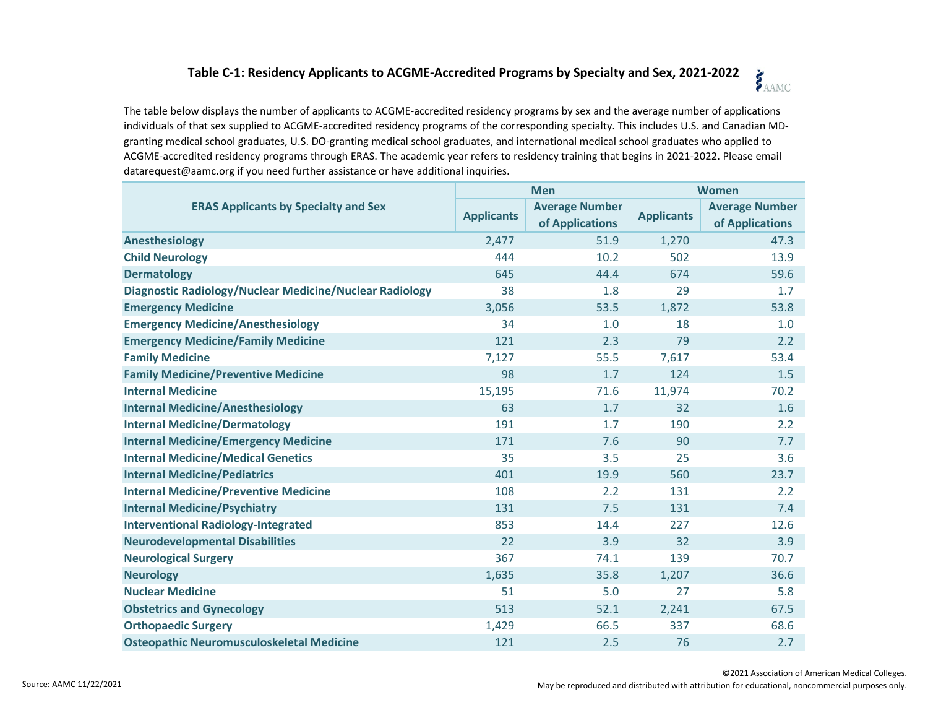## **Table C-1: Residency Applicants to ACGME-Accredited Programs by Specialty and Sex, 2021-2022** SAAMC

The table below displays the number of applicants to ACGME-accredited residency programs by sex and the average number of applications individuals of that sex supplied to ACGME-accredited residency programs of the corresponding specialty. This includes U.S. and Canadian MDgranting medical school graduates, U.S. DO-granting medical school graduates, and international medical school graduates who applied to ACGME-accredited residency programs through ERAS. The academic year refers to residency training that begins in 2021-2022. Please email datarequest@aamc.org if you need further assistance or have additional inquiries.

| <b>ERAS Applicants by Specialty and Sex</b>                    | <b>Men</b>        |                                          | <b>Women</b>      |                                          |
|----------------------------------------------------------------|-------------------|------------------------------------------|-------------------|------------------------------------------|
|                                                                | <b>Applicants</b> | <b>Average Number</b><br>of Applications | <b>Applicants</b> | <b>Average Number</b><br>of Applications |
| Anesthesiology                                                 | 2,477             | 51.9                                     | 1,270             | 47.3                                     |
| <b>Child Neurology</b>                                         | 444               | 10.2                                     | 502               | 13.9                                     |
| <b>Dermatology</b>                                             | 645               | 44.4                                     | 674               | 59.6                                     |
| <b>Diagnostic Radiology/Nuclear Medicine/Nuclear Radiology</b> | 38                | 1.8                                      | 29                | 1.7                                      |
| <b>Emergency Medicine</b>                                      | 3,056             | 53.5                                     | 1,872             | 53.8                                     |
| <b>Emergency Medicine/Anesthesiology</b>                       | 34                | 1.0                                      | 18                | 1.0                                      |
| <b>Emergency Medicine/Family Medicine</b>                      | 121               | 2.3                                      | 79                | 2.2                                      |
| <b>Family Medicine</b>                                         | 7,127             | 55.5                                     | 7,617             | 53.4                                     |
| <b>Family Medicine/Preventive Medicine</b>                     | 98                | 1.7                                      | 124               | 1.5                                      |
| <b>Internal Medicine</b>                                       | 15,195            | 71.6                                     | 11,974            | 70.2                                     |
| <b>Internal Medicine/Anesthesiology</b>                        | 63                | 1.7                                      | 32                | 1.6                                      |
| <b>Internal Medicine/Dermatology</b>                           | 191               | 1.7                                      | 190               | 2.2                                      |
| <b>Internal Medicine/Emergency Medicine</b>                    | 171               | 7.6                                      | 90                | 7.7                                      |
| <b>Internal Medicine/Medical Genetics</b>                      | 35                | 3.5                                      | 25                | 3.6                                      |
| <b>Internal Medicine/Pediatrics</b>                            | 401               | 19.9                                     | 560               | 23.7                                     |
| <b>Internal Medicine/Preventive Medicine</b>                   | 108               | 2.2                                      | 131               | 2.2                                      |
| <b>Internal Medicine/Psychiatry</b>                            | 131               | 7.5                                      | 131               | 7.4                                      |
| <b>Interventional Radiology-Integrated</b>                     | 853               | 14.4                                     | 227               | 12.6                                     |
| <b>Neurodevelopmental Disabilities</b>                         | 22                | 3.9                                      | 32                | 3.9                                      |
| <b>Neurological Surgery</b>                                    | 367               | 74.1                                     | 139               | 70.7                                     |
| <b>Neurology</b>                                               | 1,635             | 35.8                                     | 1,207             | 36.6                                     |
| <b>Nuclear Medicine</b>                                        | 51                | 5.0                                      | 27                | 5.8                                      |
| <b>Obstetrics and Gynecology</b>                               | 513               | 52.1                                     | 2,241             | 67.5                                     |
| <b>Orthopaedic Surgery</b>                                     | 1,429             | 66.5                                     | 337               | 68.6                                     |
| <b>Osteopathic Neuromusculoskeletal Medicine</b>               | 121               | 2.5                                      | 76                | 2.7                                      |